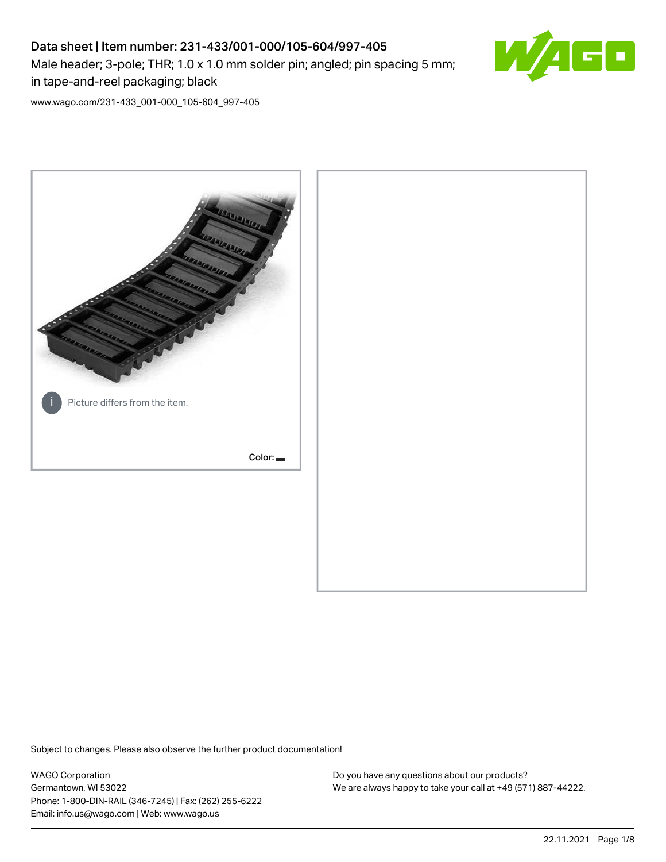# Data sheet | Item number: 231-433/001-000/105-604/997-405 Male header; 3-pole; THR; 1.0 x 1.0 mm solder pin; angled; pin spacing 5 mm; in tape-and-reel packaging; black



[www.wago.com/231-433\\_001-000\\_105-604\\_997-405](http://www.wago.com/231-433_001-000_105-604_997-405)



Subject to changes. Please also observe the further product documentation!

WAGO Corporation Germantown, WI 53022 Phone: 1-800-DIN-RAIL (346-7245) | Fax: (262) 255-6222 Email: info.us@wago.com | Web: www.wago.us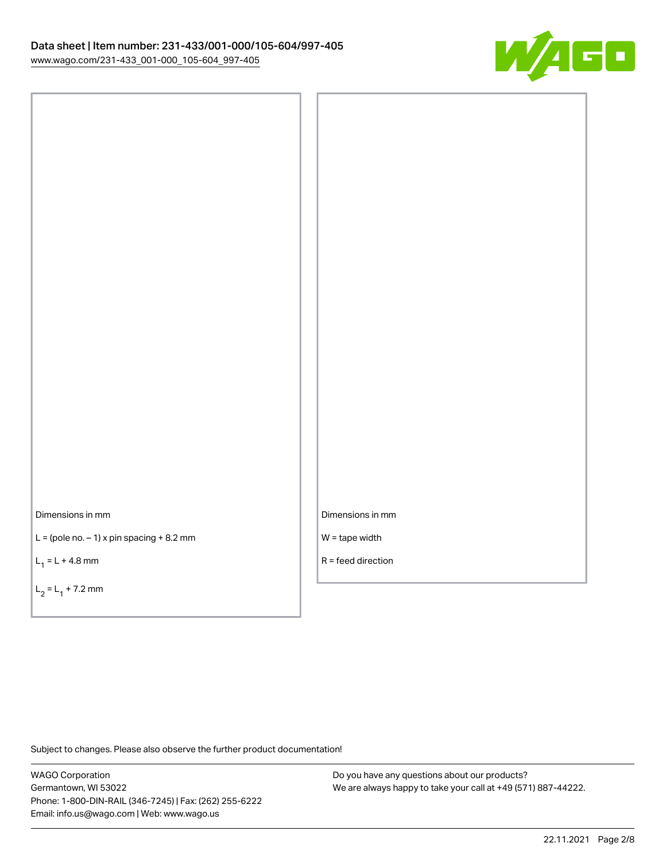

Dimensions in mm

 $L =$  (pole no.  $-1$ ) x pin spacing  $+8.2$  mm

 $L_1 = L + 4.8$  mm

 $L_2 = L_1 + 7.2$  mm

Dimensions in mm

W = tape width

R = feed direction

Subject to changes. Please also observe the further product documentation!

WAGO Corporation Germantown, WI 53022 Phone: 1-800-DIN-RAIL (346-7245) | Fax: (262) 255-6222 Email: info.us@wago.com | Web: www.wago.us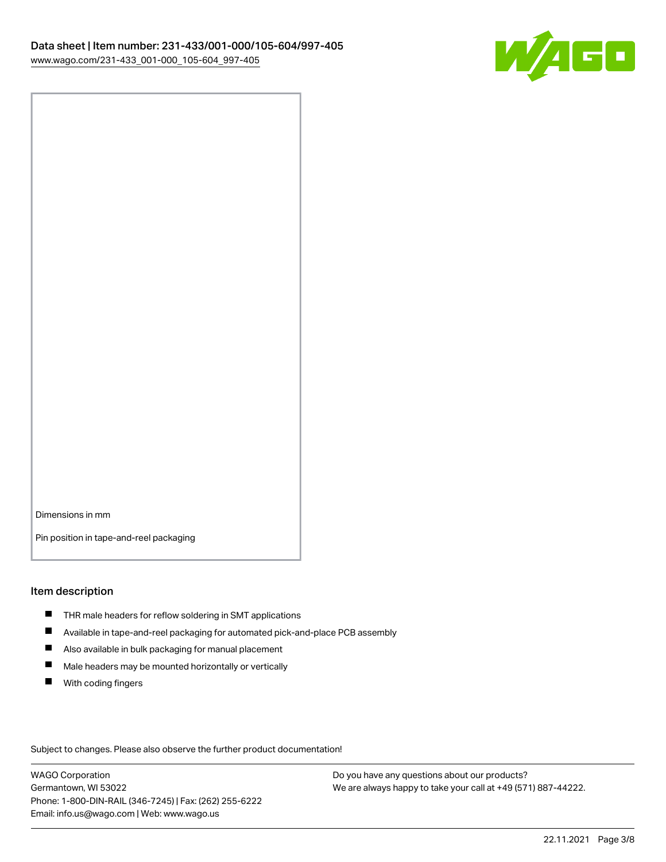

Dimensions in mm

Pin position in tape-and-reel packaging

#### Item description

- **THR** male headers for reflow soldering in SMT applications
- $\blacksquare$ Available in tape-and-reel packaging for automated pick-and-place PCB assembly
- $\blacksquare$ Also available in bulk packaging for manual placement
- $\blacksquare$ Male headers may be mounted horizontally or vertically
- **With coding fingers**

Subject to changes. Please also observe the further product documentation!

WAGO Corporation Germantown, WI 53022 Phone: 1-800-DIN-RAIL (346-7245) | Fax: (262) 255-6222 Email: info.us@wago.com | Web: www.wago.us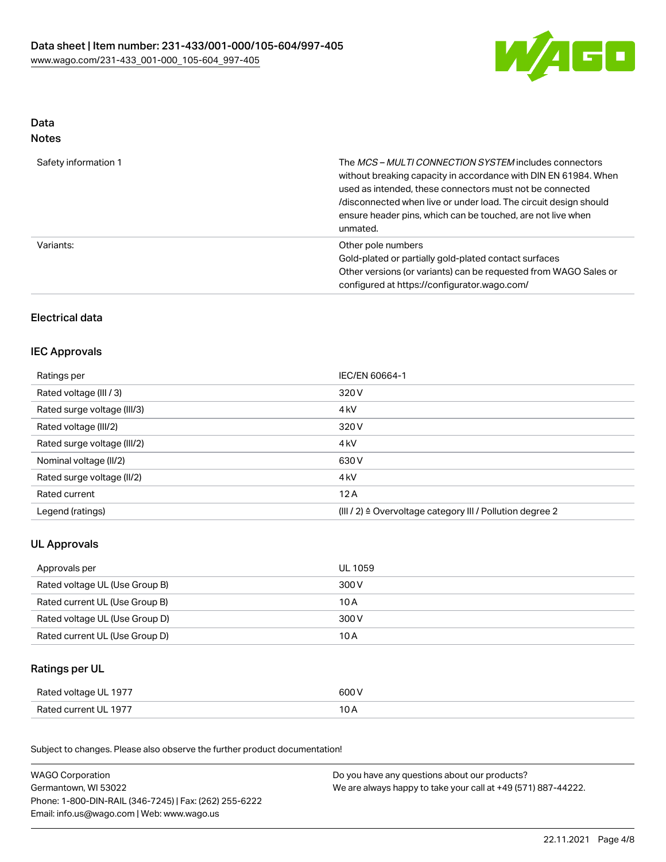

## Data Notes

| Safety information 1 | The <i>MCS – MULTI CONNECTION SYSTEM</i> includes connectors<br>without breaking capacity in accordance with DIN EN 61984. When<br>used as intended, these connectors must not be connected<br>/disconnected when live or under load. The circuit design should<br>ensure header pins, which can be touched, are not live when<br>unmated. |
|----------------------|--------------------------------------------------------------------------------------------------------------------------------------------------------------------------------------------------------------------------------------------------------------------------------------------------------------------------------------------|
| Variants:            | Other pole numbers<br>Gold-plated or partially gold-plated contact surfaces<br>Other versions (or variants) can be requested from WAGO Sales or<br>configured at https://configurator.wago.com/                                                                                                                                            |

## Electrical data

## IEC Approvals

| Ratings per                 | IEC/EN 60664-1                                            |
|-----------------------------|-----------------------------------------------------------|
| Rated voltage (III / 3)     | 320 V                                                     |
| Rated surge voltage (III/3) | 4 <sub>kV</sub>                                           |
| Rated voltage (III/2)       | 320 V                                                     |
| Rated surge voltage (III/2) | 4 <sub>k</sub> V                                          |
| Nominal voltage (II/2)      | 630 V                                                     |
| Rated surge voltage (II/2)  | 4 <sub>k</sub> V                                          |
| Rated current               | 12A                                                       |
| Legend (ratings)            | (III / 2) ≙ Overvoltage category III / Pollution degree 2 |

## UL Approvals

| Approvals per                  | UL 1059 |
|--------------------------------|---------|
| Rated voltage UL (Use Group B) | 300 V   |
| Rated current UL (Use Group B) | 10 A    |
| Rated voltage UL (Use Group D) | 300 V   |
| Rated current UL (Use Group D) | 10 A    |

## Ratings per UL

| Rated voltage UL 1977 | 600 V |
|-----------------------|-------|
| Rated current UL 1977 | 10 A  |

Subject to changes. Please also observe the further product documentation!

| <b>WAGO Corporation</b>                                | Do you have any questions about our products?                 |
|--------------------------------------------------------|---------------------------------------------------------------|
| Germantown, WI 53022                                   | We are always happy to take your call at +49 (571) 887-44222. |
| Phone: 1-800-DIN-RAIL (346-7245)   Fax: (262) 255-6222 |                                                               |
| Email: info.us@wago.com   Web: www.wago.us             |                                                               |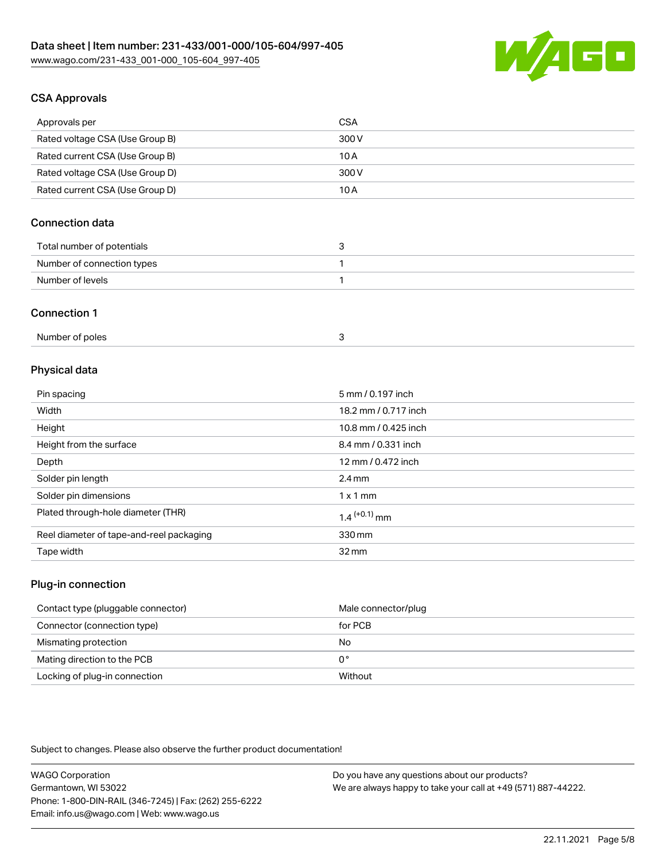

## CSA Approvals

| Approvals per                   | CSA   |
|---------------------------------|-------|
| Rated voltage CSA (Use Group B) | 300 V |
| Rated current CSA (Use Group B) | 10 A  |
| Rated voltage CSA (Use Group D) | 300 V |
| Rated current CSA (Use Group D) | 10 A  |

## Connection data

| Total number of potentials |  |
|----------------------------|--|
| Number of connection types |  |
| Number of levels           |  |

#### Connection 1

| Number of poles |  |  |
|-----------------|--|--|
|-----------------|--|--|

# Physical data

| Pin spacing                              | 5 mm / 0.197 inch    |
|------------------------------------------|----------------------|
| Width                                    | 18.2 mm / 0.717 inch |
| Height                                   | 10.8 mm / 0.425 inch |
| Height from the surface                  | 8.4 mm / 0.331 inch  |
| Depth                                    | 12 mm / 0.472 inch   |
| Solder pin length                        | $2.4 \text{ mm}$     |
| Solder pin dimensions                    | $1 \times 1$ mm      |
| Plated through-hole diameter (THR)       | $1.4$ $(+0.1)$ mm    |
| Reel diameter of tape-and-reel packaging | 330 mm               |
| Tape width                               | $32 \,\mathrm{mm}$   |

## Plug-in connection

| Contact type (pluggable connector) | Male connector/plug |
|------------------------------------|---------------------|
| Connector (connection type)        | for PCB             |
| Mismating protection               | No                  |
| Mating direction to the PCB        | 0°                  |
| Locking of plug-in connection      | Without             |

Subject to changes. Please also observe the further product documentation!

| <b>WAGO Corporation</b>                                | Do you have any questions about our products?                 |
|--------------------------------------------------------|---------------------------------------------------------------|
| Germantown, WI 53022                                   | We are always happy to take your call at +49 (571) 887-44222. |
| Phone: 1-800-DIN-RAIL (346-7245)   Fax: (262) 255-6222 |                                                               |
| Email: info.us@wago.com   Web: www.wago.us             |                                                               |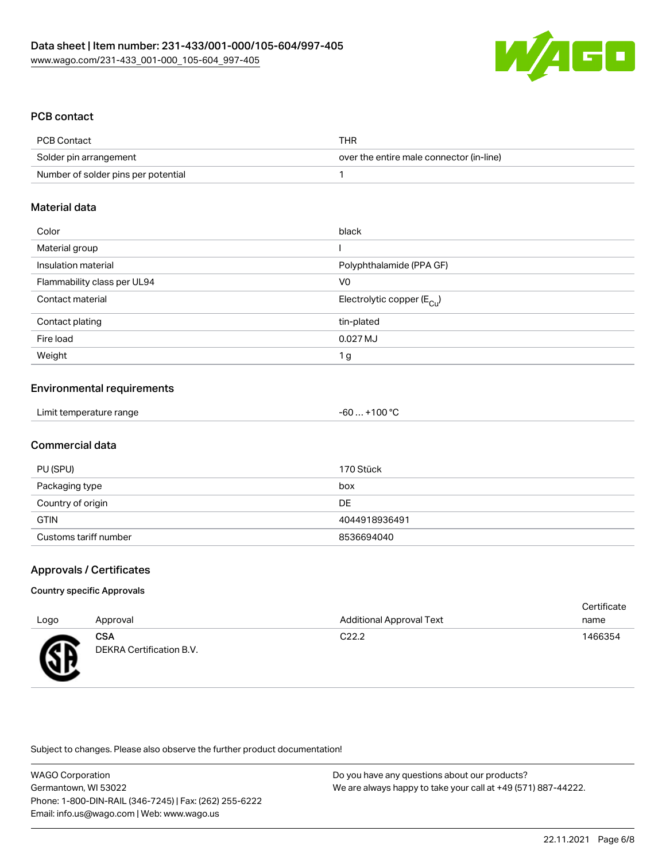

## PCB contact

| PCB Contact                         | THR                                      |
|-------------------------------------|------------------------------------------|
| Solder pin arrangement              | over the entire male connector (in-line) |
| Number of solder pins per potential |                                          |

#### Material data

| Color                       | black                                  |
|-----------------------------|----------------------------------------|
| Material group              |                                        |
| Insulation material         | Polyphthalamide (PPA GF)               |
| Flammability class per UL94 | V <sub>0</sub>                         |
| Contact material            | Electrolytic copper (E <sub>Cu</sub> ) |
| Contact plating             | tin-plated                             |
| Fire load                   | 0.027 MJ                               |
| Weight                      | 1 <sub>g</sub>                         |

## Environmental requirements

#### Commercial data

| PU (SPU)              | 170 Stück     |
|-----------------------|---------------|
| Packaging type        | box           |
| Country of origin     | DE            |
| <b>GTIN</b>           | 4044918936491 |
| Customs tariff number | 8536694040    |

## Approvals / Certificates

#### Country specific Approvals

|      |                                        |                                 | Certificate |
|------|----------------------------------------|---------------------------------|-------------|
| Logo | Approval                               | <b>Additional Approval Text</b> | name        |
| Æ    | <b>CSA</b><br>DEKRA Certification B.V. | C <sub>22.2</sub>               | 1466354     |

Subject to changes. Please also observe the further product documentation!

WAGO Corporation Germantown, WI 53022 Phone: 1-800-DIN-RAIL (346-7245) | Fax: (262) 255-6222 Email: info.us@wago.com | Web: www.wago.us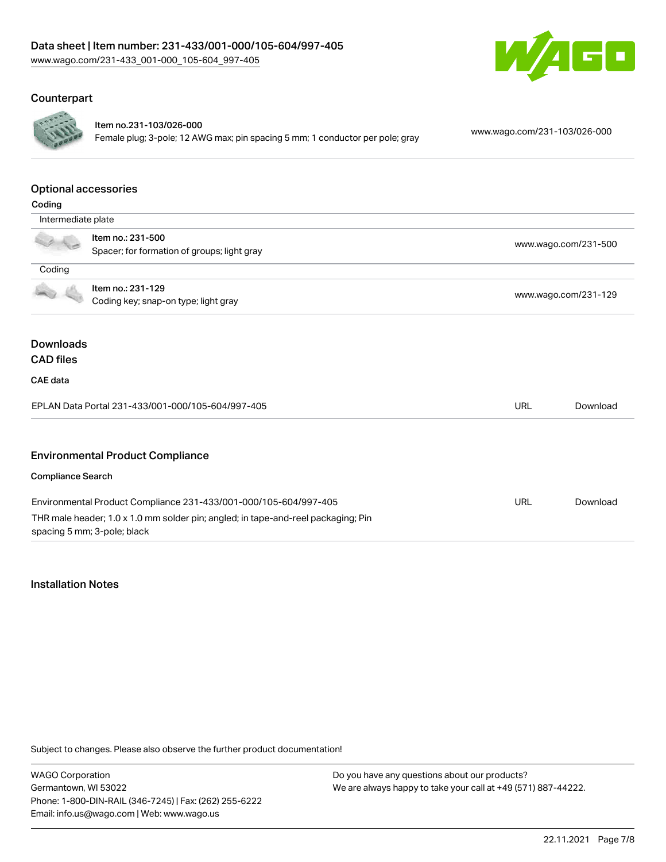

#### Counterpart



#### Item no.231-103/026-000

Female plug; 3-pole; 12 AWG max; pin spacing 5 mm; 1 conductor per pole; gray [www.wago.com/231-103/026-000](https://www.wago.com/231-103/026-000)

#### Optional accessories

| Coding                   |                                                                                                                  |                      |          |
|--------------------------|------------------------------------------------------------------------------------------------------------------|----------------------|----------|
| Intermediate plate       |                                                                                                                  |                      |          |
|                          | Item no.: 231-500                                                                                                | www.wago.com/231-500 |          |
|                          | Spacer; for formation of groups; light gray                                                                      |                      |          |
| Coding                   |                                                                                                                  |                      |          |
|                          | Item no.: 231-129                                                                                                | www.wago.com/231-129 |          |
|                          | Coding key; snap-on type; light gray                                                                             |                      |          |
|                          |                                                                                                                  |                      |          |
| <b>Downloads</b>         |                                                                                                                  |                      |          |
| <b>CAD files</b>         |                                                                                                                  |                      |          |
| <b>CAE</b> data          |                                                                                                                  |                      |          |
|                          | EPLAN Data Portal 231-433/001-000/105-604/997-405                                                                | <b>URL</b>           | Download |
|                          |                                                                                                                  |                      |          |
|                          | <b>Environmental Product Compliance</b>                                                                          |                      |          |
| <b>Compliance Search</b> |                                                                                                                  |                      |          |
|                          | Environmental Product Compliance 231-433/001-000/105-604/997-405                                                 | <b>URL</b>           | Download |
|                          | THR male header; 1.0 x 1.0 mm solder pin; angled; in tape-and-reel packaging; Pin<br>spacing 5 mm; 3-pole; black |                      |          |

#### Installation Notes

Subject to changes. Please also observe the further product documentation!

WAGO Corporation Germantown, WI 53022 Phone: 1-800-DIN-RAIL (346-7245) | Fax: (262) 255-6222 Email: info.us@wago.com | Web: www.wago.us